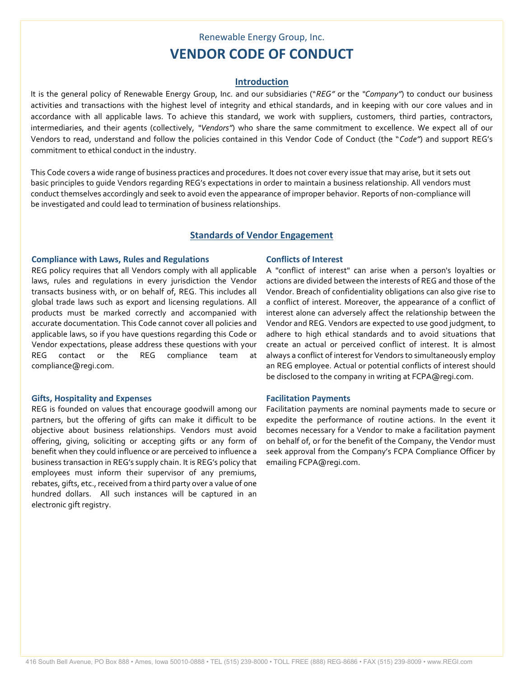# Renewable Energy Group, Inc. **VENDOR CODE OF CONDUCT**

# **Introduction**

It is the general policy of Renewable Energy Group, Inc. and our subsidiaries ("*REG"* or the *"Company"*) to conduct our business activities and transactions with the highest level of integrity and ethical standards, and in keeping with our core values and in accordance with all applicable laws. To achieve this standard, we work with suppliers, customers, third parties, contractors, intermediaries, and their agents (collectively, *"Vendors"*) who share the same commitment to excellence. We expect all of our Vendors to read, understand and follow the policies contained in this Vendor Code of Conduct (the "*Code"*) and support REG's commitment to ethical conduct in the industry.

This Code covers a wide range of business practices and procedures. It does not cover every issue that may arise, but it sets out basic principles to guide Vendors regarding REG's expectations in order to maintain a business relationship. All vendors must conduct themselves accordingly and seek to avoid even the appearance of improper behavior. Reports of non-compliance will be investigated and could lead to termination of business relationships.

# **Standards of Vendor Engagement**

### **Compliance with Laws, Rules and Regulations Conflicts of Interest**

REG policy requires that all Vendors comply with all applicable laws, rules and regulations in every jurisdiction the Vendor transacts business with, or on behalf of, REG. This includes all global trade laws such as export and licensing regulations. All products must be marked correctly and accompanied with accurate documentation. This Code cannot cover all policies and applicable laws, so if you have questions regarding this Code or Vendor expectations, please address these questions with your REG contact or the REG compliance team at compliance@regi.com.

## **Gifts, Hospitality and Expenses Facilitation Payments**

REG is founded on values that encourage goodwill among our partners, but the offering of gifts can make it difficult to be objective about business relationships. Vendors must avoid offering, giving, soliciting or accepting gifts or any form of benefit when they could influence or are perceived to influence a business transaction in REG's supply chain. It is REG's policy that employees must inform their supervisor of any premiums, rebates, gifts, etc., received from a third party over a value of one hundred dollars. All such instances will be captured in an electronic gift registry.

A "conflict of interest" can arise when a person's loyalties or actions are divided between the interests of REG and those of the Vendor. Breach of confidentiality obligations can also give rise to a conflict of interest. Moreover, the appearance of a conflict of interest alone can adversely affect the relationship between the Vendor and REG. Vendors are expected to use good judgment, to adhere to high ethical standards and to avoid situations that create an actual or perceived conflict of interest. It is almost always a conflict of interest for Vendors to simultaneously employ an REG employee. Actual or potential conflicts of interest should be disclosed to the company in writing at FCPA@regi.com.

Facilitation payments are nominal payments made to secure or expedite the performance of routine actions. In the event it becomes necessary for a Vendor to make a facilitation payment on behalf of, or for the benefit of the Company, the Vendor must seek approval from the Company's FCPA Compliance Officer by emailing FCPA@regi.com.